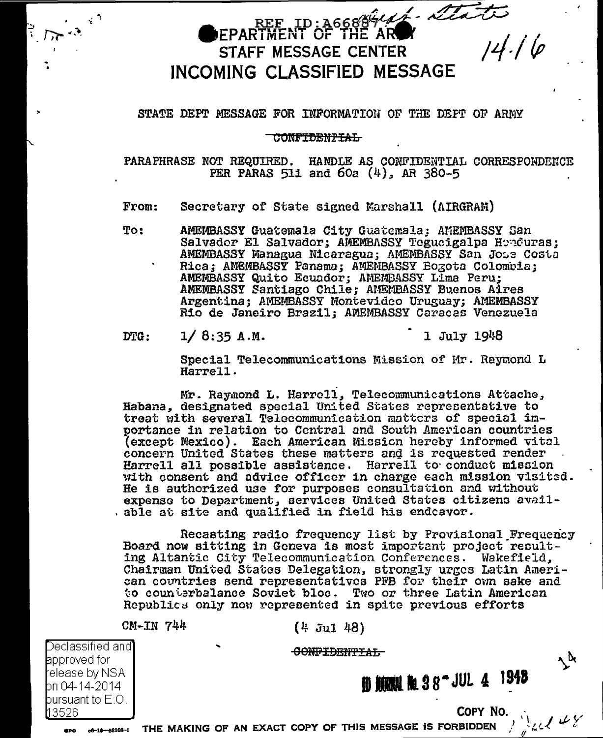## REE ID: A6688444-22000 FPARTMENT OF THE AR STAFF MESSAGE CENTER INCOMING CLASSIFIED MESSAGE

#### STATE DEPT MESSAGE FOR INFORMATION OF THE DEPT OF ARMY

#### **CONFIDENTIAL**

PARAPHRASE NOT REQUIRED. HANDLE AS CONFIDENTIAL CORRESPONDENCE PER PARAS 511 and  $60a$  (4), AR 380-5

Secretary of State signed Marshall (AIRGRAM) From:

To: AMEMBASSY Guatemala City Guatemala; AMEMBASSY San Salvador El Salvador; AMEMBASSY Tegucigalpa Honduras; AMEMBASSY Managua Nicaragua; AMEMBASSY San Jose Costa Rica; AMEMBASSY Panama; AMEMBASSY Bogota Colombia; AMEMBASSY Quito Ecuador: AMEMBASSY LIma Peru: AMEMBASSY Santiago Chile; AMEMBASSY Buenos Aires Argentina; AMEMBASSY Montevideo Uruguay; AMEMBASSY Rio de Janeiro Brazil; AMEMBASSY Caracas Venezuela

 $DTG:$  $1/8:35 A.M.$  1 July 1948

Special Telecommunications Mission of Mr. Raymond L Harrell.

Mr. Raymond L. Harrell, Telecommunications Attache, Habana, designated special United States representative to treat with several Telecommunication matters of special importance in relation to Central and South American countries (except Mexico). Each American Mission hereby informed vital concern United States these matters and is requested render Harrell all possible assistance. Harrell to conduct mission with consent and advice officer in charge each mission visited. He is authorized use for purposes consultation and without expense to Department, services United States citizens available at site and qualified in field his endcavor.

Recasting radio frequency list by Provisional Frequency Board now sitting in Geneva is most important project resulting Altantic City Telecommunication Conferences. Wakefield. Chairman United States Delegation, strongly urges Latin American countries send representatives PFB for their own sake and to counterbalance Soviet bloc. Two or three Latin American Republics only now represented in spite previous efforts

 $CM-TN$  744

 $(4 \text{ Jul } 48)$ 

CONFIDENTIAL

Declassified and **a**pproved for release by NSA. bn 04-14-2014 i bursuant to  $\mathsf{E}.\mathsf{O}.$ 13526

eno.

**節 類照性 配 3 8 ~ JUL 4 1948** 

COPY NO.

 $\lambda^{\mathbf{k}}$ 

**OF 16-16-58108-1** THE MAKING OF AN EXACT COPY OF THIS MESSAGE IS FORBIDDEN And  $\mathcal{L}(\mathcal{L})$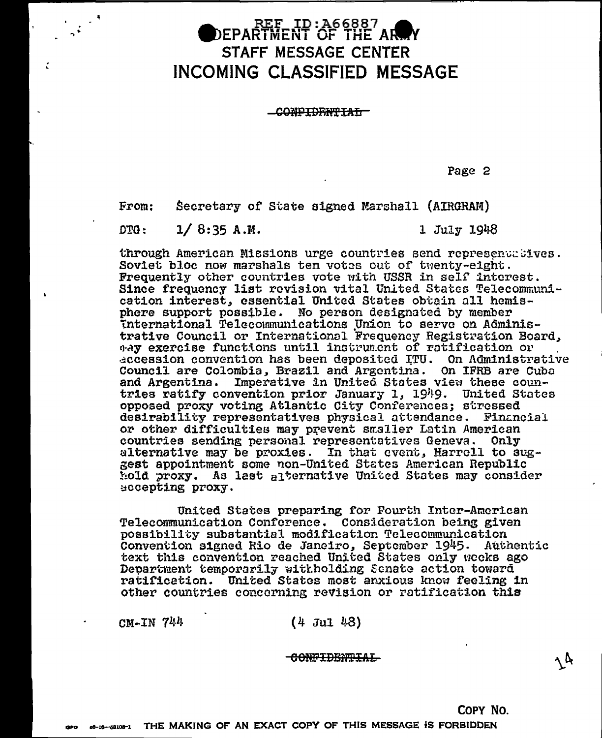# **DEPARTMENT OF THE AR**<br>DEPARTMENT OF THE AR STAFF MESSAGE CENTER **INCOMING CLASSIFIED MESSAGE**

CONFIDENTIAL

Page 2

Secretary of State signed Marshall (AIRGRAM)  $From:$ 

 $OPG$ :  $1/8:35 A.M.$  1 July 1948

through American Missions urge countries send representatives. Soviet bloc now marshals ten votes out of twenty-eight. Frequently other countries vote with USSR in self interest. Since frequency list revision vital United States Telecommunication interest, essential United States obtain all hemisphere support possible. No person designated by member international Telecommunications Union to serve on Administrative Council or International Frequency Registration Board, way exercise functions until instrument of ratification or accession convention has been deposited ITU. On Administrative Council are Colombia, Brazil and Argentina. On IFRB are Cuba and Argentina. Imperative in United States view these countries ratify convention prior January 1, 1949. United States opposed proxy voting Atlantic City Conferences; stressed desirability representatives physical attendance. Financial or other difficulties may prevent smaller Latin American countries sending personal representatives Geneva. Only alternative may be proxies. In that event, Harrell to suggest appointment some non-United States American Republic hold proxy. As last alternative United States may consider accepting proxy.

United States preparing for Fourth Inter-American Telecommunication Conference. Consideration being given possibility substantial modification Telecommunication Convention signed Rio de Janeiro, September 1945. Authentic text this convention reached United States only weeks ago Department temporarily witholding Senate action toward ratification. United States most anxious know feeling in other countries concerning revision or ratification this

**CM-IN 744**  $(4$  Jul 48)

CONFIDENTIAL

COPY NO.

 $\boldsymbol{\wedge} \boldsymbol{\vartriangle}$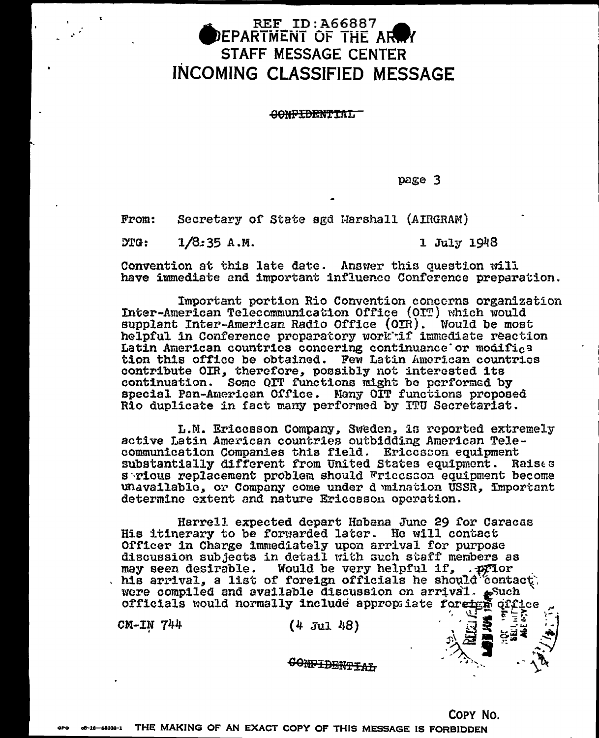### **REF ID:A66887** DEPARTMENT OF THE AR STAFF MESSAGE CENTER **INCOMING CLASSIFIED MESSAGE**

CONFTDRNTTAT.

page 3

 $From:$ Secretary of State agd Marshall (AIRGRAM)

ንጥር - $1/8:35 A.M.$  1 July 1948

ਲਭੋਂ

Convention at this late date. Answer this question will have immediate and important influence Conference preparation.

Important portion Rio Convention concerns organization Inter-American Telecommunication Office (OIT) which would supplant Inter-American Radio Office (OIR). Would be most helpful in Conference proparatory work if immediate reaction Latin American countries concering continuance or modifies tion this office be obtained. Few Latin American countries contribute OIR, therefore, possibly not interested its continuation. Some QIT functions might be performed by special Pan-American Office. Many OIT functions proposed Rio duplicate in fact many performed by ITU Secretariat.

L.M. Ericesson Company, Sweden, is reported extremely active Latin American countries outbidding American Telecommunication Companies this field. Ericcsson equipment<br>substantially different from United States equipment. Raises s rious replacement problem should Fricesson equipment become unavailable, or Company come under d mination USSR, Important determine extent and nature Ericosson operation.

Harrell expected depart Habana June 29 for Caracas His itinerary to be forwarded later. He will contact Officer in Charge immediately upon arrival for purpose discussion subjects in detail with such staff members as Would be very helpful if, .prior may seen desirable. his arrival, a list of foreign officials he should contact. were compiled and available discussion on arrival. such officials would normally include appropiiate foreign qifice

 $CM-TN$   $744$ 

 $(4$  Jul 48)

CONPIDENTIAL